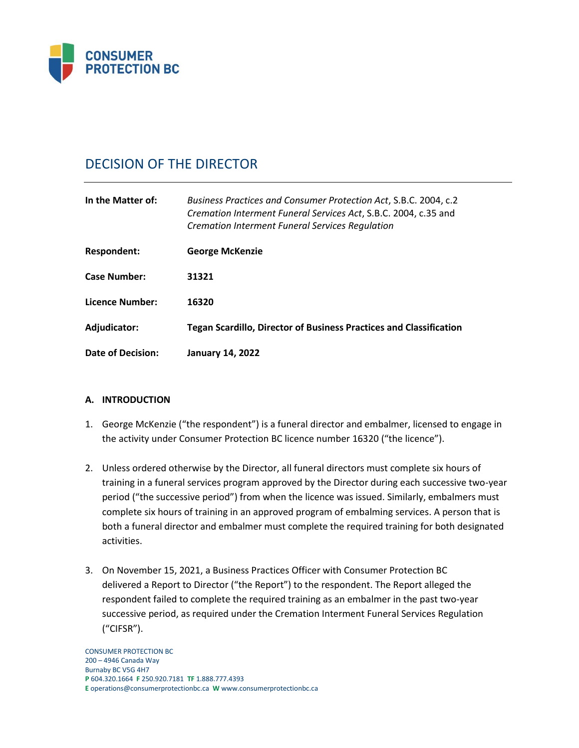

# DECISION OF THE DIRECTOR

| In the Matter of:   | Business Practices and Consumer Protection Act, S.B.C. 2004, c.2<br>Cremation Interment Funeral Services Act, S.B.C. 2004, c.35 and<br><b>Cremation Interment Funeral Services Regulation</b> |
|---------------------|-----------------------------------------------------------------------------------------------------------------------------------------------------------------------------------------------|
| Respondent:         | <b>George McKenzie</b>                                                                                                                                                                        |
| <b>Case Number:</b> | 31321                                                                                                                                                                                         |
| Licence Number:     | 16320                                                                                                                                                                                         |
| Adjudicator:        | <b>Tegan Scardillo, Director of Business Practices and Classification</b>                                                                                                                     |
| Date of Decision:   | <b>January 14, 2022</b>                                                                                                                                                                       |

#### **A. INTRODUCTION**

- 1. George McKenzie ("the respondent") is a funeral director and embalmer, licensed to engage in the activity under Consumer Protection BC licence number 16320 ("the licence").
- 2. Unless ordered otherwise by the Director, all funeral directors must complete six hours of training in a funeral services program approved by the Director during each successive two-year period ("the successive period") from when the licence was issued. Similarly, embalmers must complete six hours of training in an approved program of embalming services. A person that is both a funeral director and embalmer must complete the required training for both designated activities.
- 3. On November 15, 2021, a Business Practices Officer with Consumer Protection BC delivered a Report to Director ("the Report") to the respondent. The Report alleged the respondent failed to complete the required training as an embalmer in the past two-year successive period, as required under the Cremation Interment Funeral Services Regulation ("CIFSR").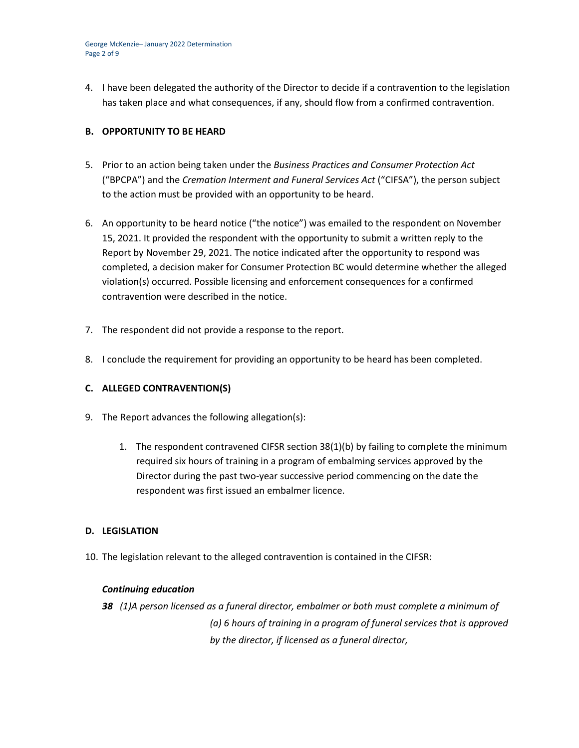George McKenzie– January 2022 Determination Page 2 of 9

4. I have been delegated the authority of the Director to decide if a contravention to the legislation has taken place and what consequences, if any, should flow from a confirmed contravention.

## **B. OPPORTUNITY TO BE HEARD**

- 5. Prior to an action being taken under the *Business Practices and Consumer Protection Act*  ("BPCPA") and the *Cremation Interment and Funeral Services Act* ("CIFSA"), the person subject to the action must be provided with an opportunity to be heard.
- 6. An opportunity to be heard notice ("the notice") was emailed to the respondent on November 15, 2021. It provided the respondent with the opportunity to submit a written reply to the Report by November 29, 2021. The notice indicated after the opportunity to respond was completed, a decision maker for Consumer Protection BC would determine whether the alleged violation(s) occurred. Possible licensing and enforcement consequences for a confirmed contravention were described in the notice.
- 7. The respondent did not provide a response to the report.
- 8. I conclude the requirement for providing an opportunity to be heard has been completed.

#### **C. ALLEGED CONTRAVENTION(S)**

- 9. The Report advances the following allegation(s):
	- 1. The respondent contravened CIFSR section 38(1)(b) by failing to complete the minimum required six hours of training in a program of embalming services approved by the Director during the past two-year successive period commencing on the date the respondent was first issued an embalmer licence.

#### **D. LEGISLATION**

10. The legislation relevant to the alleged contravention is contained in the CIFSR:

#### *Continuing education*

*38 (1)A person licensed as a funeral director, embalmer or both must complete a minimum of (a) 6 hours of training in a program of funeral services that is approved by the director, if licensed as a funeral director,*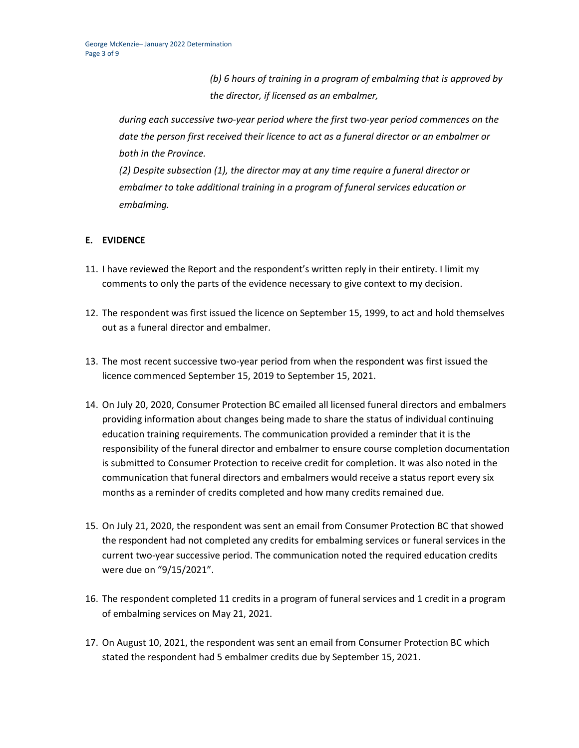*(b) 6 hours of training in a program of embalming that is approved by the director, if licensed as an embalmer,*

*during each successive two-year period where the first two-year period commences on the date the person first received their licence to act as a funeral director or an embalmer or both in the Province.*

*(2) Despite subsection (1), the director may at any time require a funeral director or embalmer to take additional training in a program of funeral services education or embalming.*

# **E. EVIDENCE**

- 11. I have reviewed the Report and the respondent's written reply in their entirety. I limit my comments to only the parts of the evidence necessary to give context to my decision.
- 12. The respondent was first issued the licence on September 15, 1999, to act and hold themselves out as a funeral director and embalmer.
- 13. The most recent successive two-year period from when the respondent was first issued the licence commenced September 15, 2019 to September 15, 2021.
- 14. On July 20, 2020, Consumer Protection BC emailed all licensed funeral directors and embalmers providing information about changes being made to share the status of individual continuing education training requirements. The communication provided a reminder that it is the responsibility of the funeral director and embalmer to ensure course completion documentation is submitted to Consumer Protection to receive credit for completion. It was also noted in the communication that funeral directors and embalmers would receive a status report every six months as a reminder of credits completed and how many credits remained due.
- 15. On July 21, 2020, the respondent was sent an email from Consumer Protection BC that showed the respondent had not completed any credits for embalming services or funeral services in the current two-year successive period. The communication noted the required education credits were due on "9/15/2021".
- 16. The respondent completed 11 credits in a program of funeral services and 1 credit in a program of embalming services on May 21, 2021.
- 17. On August 10, 2021, the respondent was sent an email from Consumer Protection BC which stated the respondent had 5 embalmer credits due by September 15, 2021.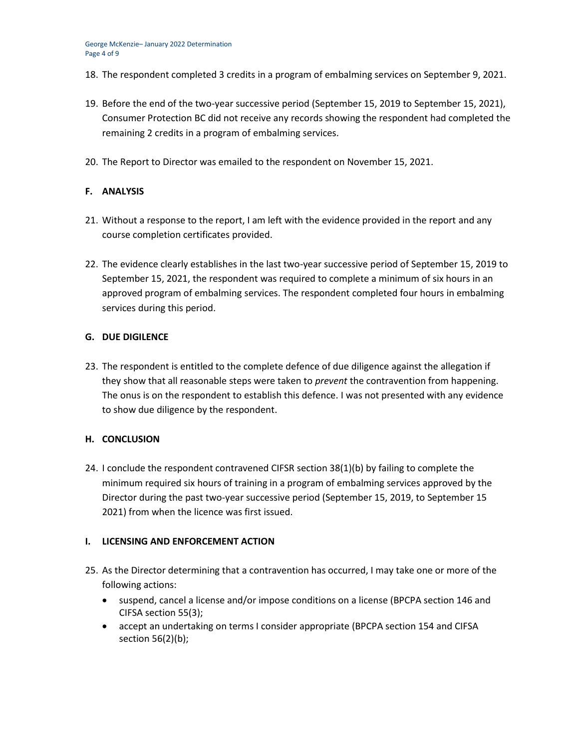- 18. The respondent completed 3 credits in a program of embalming services on September 9, 2021.
- 19. Before the end of the two-year successive period (September 15, 2019 to September 15, 2021), Consumer Protection BC did not receive any records showing the respondent had completed the remaining 2 credits in a program of embalming services.
- 20. The Report to Director was emailed to the respondent on November 15, 2021.

## **F. ANALYSIS**

- 21. Without a response to the report, I am left with the evidence provided in the report and any course completion certificates provided.
- 22. The evidence clearly establishes in the last two-year successive period of September 15, 2019 to September 15, 2021, the respondent was required to complete a minimum of six hours in an approved program of embalming services. The respondent completed four hours in embalming services during this period.

#### **G. DUE DIGILENCE**

23. The respondent is entitled to the complete defence of due diligence against the allegation if they show that all reasonable steps were taken to *prevent* the contravention from happening. The onus is on the respondent to establish this defence. I was not presented with any evidence to show due diligence by the respondent.

#### **H. CONCLUSION**

24. I conclude the respondent contravened CIFSR section 38(1)(b) by failing to complete the minimum required six hours of training in a program of embalming services approved by the Director during the past two-year successive period (September 15, 2019, to September 15 2021) from when the licence was first issued.

#### **I. LICENSING AND ENFORCEMENT ACTION**

- 25. As the Director determining that a contravention has occurred, I may take one or more of the following actions:
	- suspend, cancel a license and/or impose conditions on a license (BPCPA section 146 and CIFSA section 55(3);
	- accept an undertaking on terms I consider appropriate (BPCPA section 154 and CIFSA section 56(2)(b);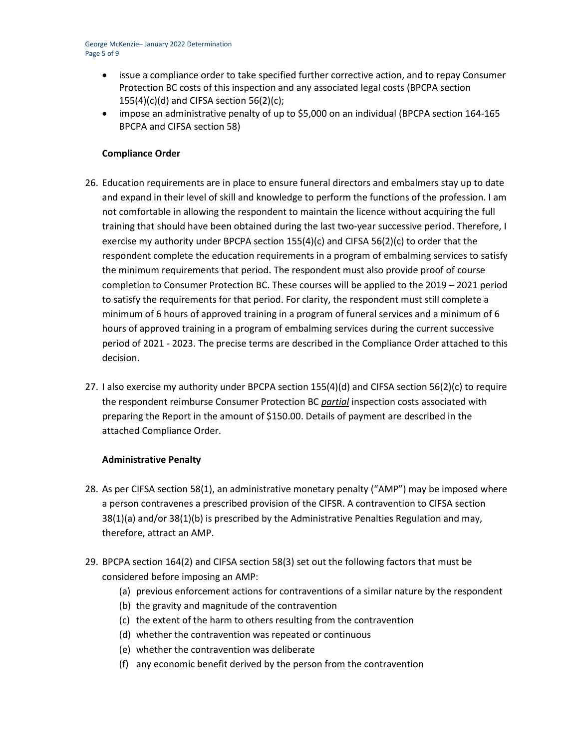- issue a compliance order to take specified further corrective action, and to repay Consumer Protection BC costs of this inspection and any associated legal costs (BPCPA section  $155(4)(c)(d)$  and CIFSA section 56(2)(c);
- impose an administrative penalty of up to \$5,000 on an individual (BPCPA section 164-165 BPCPA and CIFSA section 58)

## **Compliance Order**

- 26. Education requirements are in place to ensure funeral directors and embalmers stay up to date and expand in their level of skill and knowledge to perform the functions of the profession. I am not comfortable in allowing the respondent to maintain the licence without acquiring the full training that should have been obtained during the last two-year successive period. Therefore, I exercise my authority under BPCPA section 155(4)(c) and CIFSA 56(2)(c) to order that the respondent complete the education requirements in a program of embalming services to satisfy the minimum requirements that period. The respondent must also provide proof of course completion to Consumer Protection BC. These courses will be applied to the 2019 – 2021 period to satisfy the requirements for that period. For clarity, the respondent must still complete a minimum of 6 hours of approved training in a program of funeral services and a minimum of 6 hours of approved training in a program of embalming services during the current successive period of 2021 - 2023. The precise terms are described in the Compliance Order attached to this decision.
- 27. I also exercise my authority under BPCPA section 155(4)(d) and CIFSA section 56(2)(c) to require the respondent reimburse Consumer Protection BC *partial* inspection costs associated with preparing the Report in the amount of \$150.00. Details of payment are described in the attached Compliance Order.

#### **Administrative Penalty**

- 28. As per CIFSA section 58(1), an administrative monetary penalty ("AMP") may be imposed where a person contravenes a prescribed provision of the CIFSR. A contravention to CIFSA section 38(1)(a) and/or 38(1)(b) is prescribed by the Administrative Penalties Regulation and may, therefore, attract an AMP.
- 29. BPCPA section 164(2) and CIFSA section 58(3) set out the following factors that must be considered before imposing an AMP:
	- (a) previous enforcement actions for contraventions of a similar nature by the respondent
	- (b) the gravity and magnitude of the contravention
	- (c) the extent of the harm to others resulting from the contravention
	- (d) whether the contravention was repeated or continuous
	- (e) whether the contravention was deliberate
	- (f) any economic benefit derived by the person from the contravention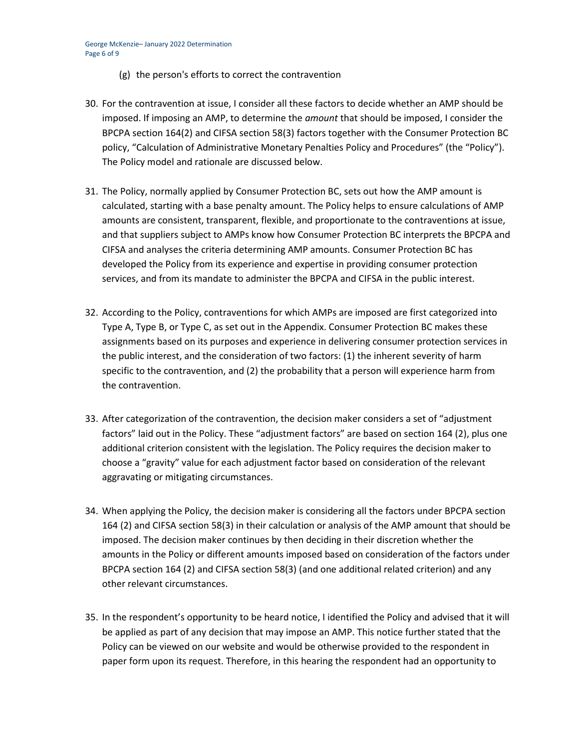- (g) the person's efforts to correct the contravention
- 30. For the contravention at issue, I consider all these factors to decide whether an AMP should be imposed. If imposing an AMP, to determine the *amount* that should be imposed, I consider the BPCPA section 164(2) and CIFSA section 58(3) factors together with the Consumer Protection BC policy, "Calculation of Administrative Monetary Penalties Policy and Procedures" (the "Policy"). The Policy model and rationale are discussed below.
- 31. The Policy, normally applied by Consumer Protection BC, sets out how the AMP amount is calculated, starting with a base penalty amount. The Policy helps to ensure calculations of AMP amounts are consistent, transparent, flexible, and proportionate to the contraventions at issue, and that suppliers subject to AMPs know how Consumer Protection BC interprets the BPCPA and CIFSA and analyses the criteria determining AMP amounts. Consumer Protection BC has developed the Policy from its experience and expertise in providing consumer protection services, and from its mandate to administer the BPCPA and CIFSA in the public interest.
- 32. According to the Policy, contraventions for which AMPs are imposed are first categorized into Type A, Type B, or Type C, as set out in the Appendix. Consumer Protection BC makes these assignments based on its purposes and experience in delivering consumer protection services in the public interest, and the consideration of two factors: (1) the inherent severity of harm specific to the contravention, and (2) the probability that a person will experience harm from the contravention.
- 33. After categorization of the contravention, the decision maker considers a set of "adjustment factors" laid out in the Policy. These "adjustment factors" are based on section 164 (2), plus one additional criterion consistent with the legislation. The Policy requires the decision maker to choose a "gravity" value for each adjustment factor based on consideration of the relevant aggravating or mitigating circumstances.
- 34. When applying the Policy, the decision maker is considering all the factors under BPCPA section 164 (2) and CIFSA section 58(3) in their calculation or analysis of the AMP amount that should be imposed. The decision maker continues by then deciding in their discretion whether the amounts in the Policy or different amounts imposed based on consideration of the factors under BPCPA section 164 (2) and CIFSA section 58(3) (and one additional related criterion) and any other relevant circumstances.
- 35. In the respondent's opportunity to be heard notice, I identified the Policy and advised that it will be applied as part of any decision that may impose an AMP. This notice further stated that the Policy can be viewed on our website and would be otherwise provided to the respondent in paper form upon its request. Therefore, in this hearing the respondent had an opportunity to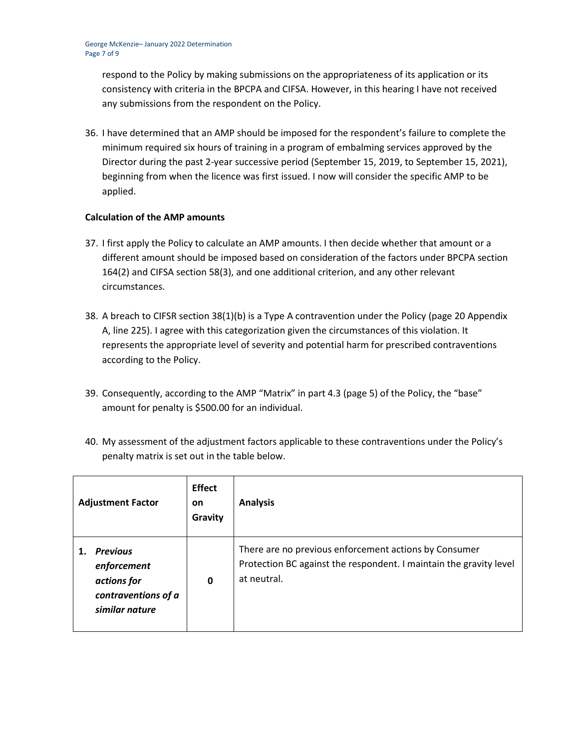respond to the Policy by making submissions on the appropriateness of its application or its consistency with criteria in the BPCPA and CIFSA. However, in this hearing I have not received any submissions from the respondent on the Policy.

36. I have determined that an AMP should be imposed for the respondent's failure to complete the minimum required six hours of training in a program of embalming services approved by the Director during the past 2-year successive period (September 15, 2019, to September 15, 2021), beginning from when the licence was first issued. I now will consider the specific AMP to be applied.

## **Calculation of the AMP amounts**

- 37. I first apply the Policy to calculate an AMP amounts. I then decide whether that amount or a different amount should be imposed based on consideration of the factors under BPCPA section 164(2) and CIFSA section 58(3), and one additional criterion, and any other relevant circumstances.
- 38. A breach to CIFSR section 38(1)(b) is a Type A contravention under the Policy (page 20 Appendix A, line 225). I agree with this categorization given the circumstances of this violation. It represents the appropriate level of severity and potential harm for prescribed contraventions according to the Policy.
- 39. Consequently, according to the AMP "Matrix" in part 4.3 (page 5) of the Policy, the "base" amount for penalty is \$500.00 for an individual.
- 40. My assessment of the adjustment factors applicable to these contraventions under the Policy's penalty matrix is set out in the table below.

| <b>Adjustment Factor</b>                                                               | <b>Effect</b><br><b>on</b><br>Gravity | <b>Analysis</b>                                                                                                                            |
|----------------------------------------------------------------------------------------|---------------------------------------|--------------------------------------------------------------------------------------------------------------------------------------------|
| <b>Previous</b><br>enforcement<br>actions for<br>contraventions of a<br>similar nature | 0                                     | There are no previous enforcement actions by Consumer<br>Protection BC against the respondent. I maintain the gravity level<br>at neutral. |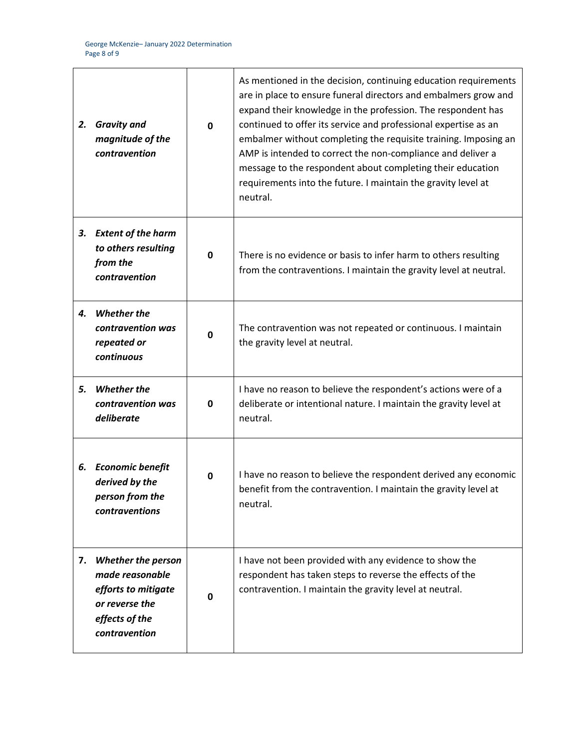| 2. | <b>Gravity and</b><br>magnitude of the<br>contravention                                                                  | $\mathbf{0}$ | As mentioned in the decision, continuing education requirements<br>are in place to ensure funeral directors and embalmers grow and<br>expand their knowledge in the profession. The respondent has<br>continued to offer its service and professional expertise as an<br>embalmer without completing the requisite training. Imposing an<br>AMP is intended to correct the non-compliance and deliver a<br>message to the respondent about completing their education<br>requirements into the future. I maintain the gravity level at<br>neutral. |
|----|--------------------------------------------------------------------------------------------------------------------------|--------------|----------------------------------------------------------------------------------------------------------------------------------------------------------------------------------------------------------------------------------------------------------------------------------------------------------------------------------------------------------------------------------------------------------------------------------------------------------------------------------------------------------------------------------------------------|
| 3. | <b>Extent of the harm</b><br>to others resulting<br>from the<br>contravention                                            | 0            | There is no evidence or basis to infer harm to others resulting<br>from the contraventions. I maintain the gravity level at neutral.                                                                                                                                                                                                                                                                                                                                                                                                               |
| 4. | <b>Whether the</b><br>contravention was<br>repeated or<br>continuous                                                     | $\mathbf 0$  | The contravention was not repeated or continuous. I maintain<br>the gravity level at neutral.                                                                                                                                                                                                                                                                                                                                                                                                                                                      |
| 5. | <b>Whether the</b><br>contravention was<br>deliberate                                                                    | 0            | I have no reason to believe the respondent's actions were of a<br>deliberate or intentional nature. I maintain the gravity level at<br>neutral.                                                                                                                                                                                                                                                                                                                                                                                                    |
|    | 6. Economic benefit<br>derived by the<br>person from the<br>contraventions                                               | 0            | I have no reason to believe the respondent derived any economic<br>benefit from the contravention. I maintain the gravity level at<br>neutral.                                                                                                                                                                                                                                                                                                                                                                                                     |
| 7. | <b>Whether the person</b><br>made reasonable<br>efforts to mitigate<br>or reverse the<br>effects of the<br>contravention | 0            | I have not been provided with any evidence to show the<br>respondent has taken steps to reverse the effects of the<br>contravention. I maintain the gravity level at neutral.                                                                                                                                                                                                                                                                                                                                                                      |